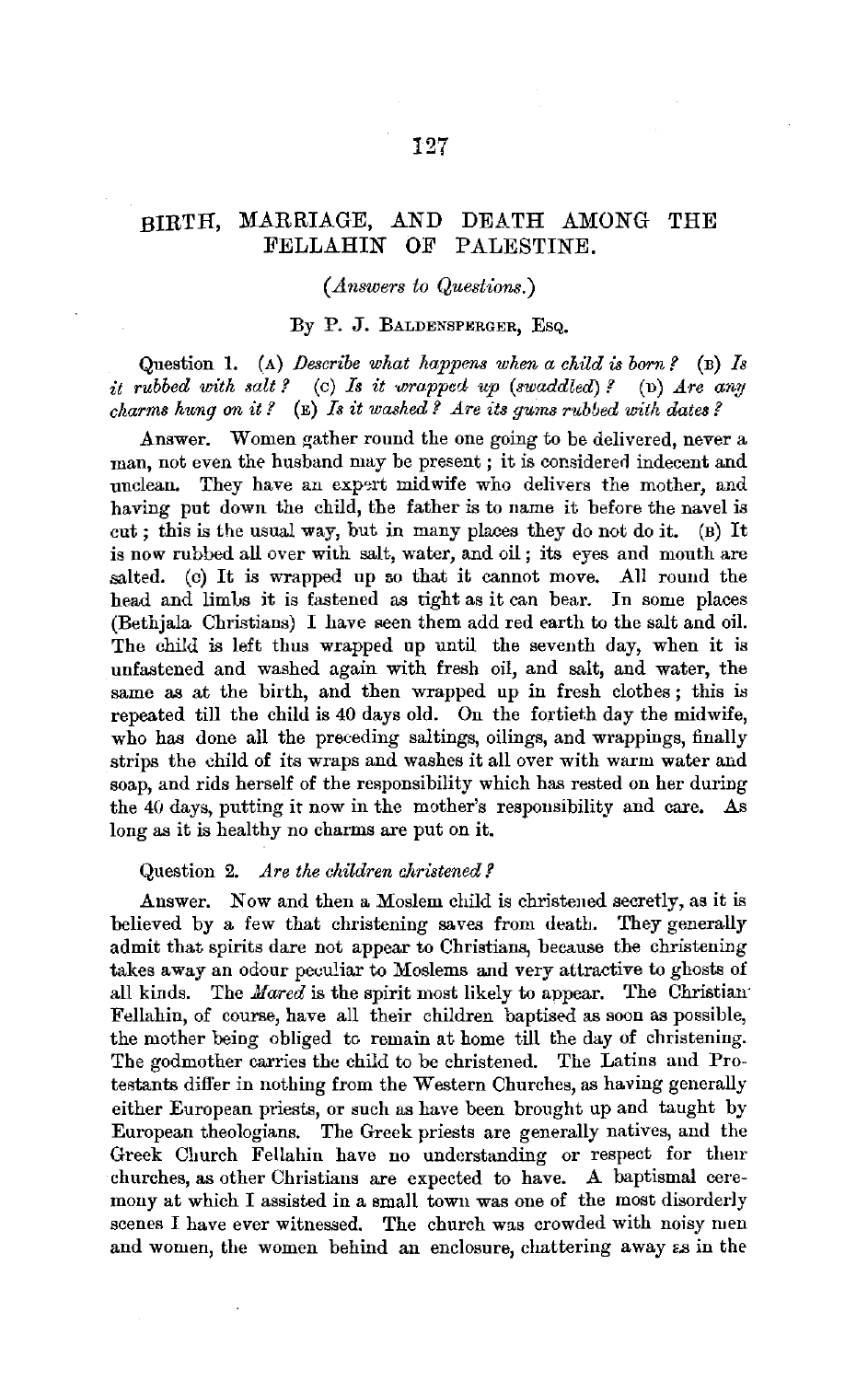## BIRTH, MARRIAGE, AND DEATH AMONG THE FELLAHIN OF PALESTINE.

## *(Answers to Questions.)*

#### By P. J. BALDENSPERGER, EsQ.

Question 1. (A) *Describe what happens when a child is born?* (B) *Is it rubbed with salt?* (c) *Is it wrapped up (swaddled)?* (b) *Are any charms hung on it?* (E) *Is it washed? Are its gums rubbed with dates?* 

Answer. Women gather round the one going to be delivered, never a man, not even the husband may be present ; it is considered indecent and unclean. They have an expert midwife who delivers the mother, and having put down the child, the father is to name it before the navel is cut; this is the usual way, but in many places they do not do it. (B) It is now rubbed all over with salt, water, and oil ; its eyes and mouth are salted. (c) It is wrapped up so that it cannot move. All round the head and limbs it is fastened as tight as it can bear. In some places (Bethjala Christians) I have seen them add red earth to the salt and oil. The child is left thus wrapped up until the seventh day, when it is unfastened and washed again with fresh oil, and salt, and water, the same as at the birth, and then wrapped up in fresh clothes; this is repeated till the child is 40 days old. On the fortieth day the midwife, who has done all the preceding saltings, oilings, and wrappings, finally strips the child of its wraps and washes it all over with warm water and soap, and rids herself of the responsibility which has rested on her during the 40 days, putting it now in the mother's responsibility and care. As long as it is healthy no charms are put on it.

#### Question 2. *Are the children christened?*

Answer. Now and then a Moslem child is christened secretly, as it is believed by a few that christening saves from death. They generally admit that spirits dare not appear to Christians, because the christening takes away an odour peculiar to Moslems and very attractive to ghosts of all kinds. The *Hared* is the spirit most likely to appear. The Christian· Fellahin, of course, have all their children baptised as soon as possible, the mother being obliged to remain at home till the day of christening. The godmother carries the child to be christened. The Latins and Protestants differ in nothing from the Western Churches, as having generally either European priests, or such as have been brought up and taught by European theologians. The Greek priests are generally natives, and the Greek Church Fellahin have no understanding or respect for their churches, as other Christians are expected to have. A baptismal ceremony at which I assisted in a small town was one of the most disorderly scenes I have ever witnessed. The church was crowded with noisy men and women, the women behind an enclosure, chattering away as in the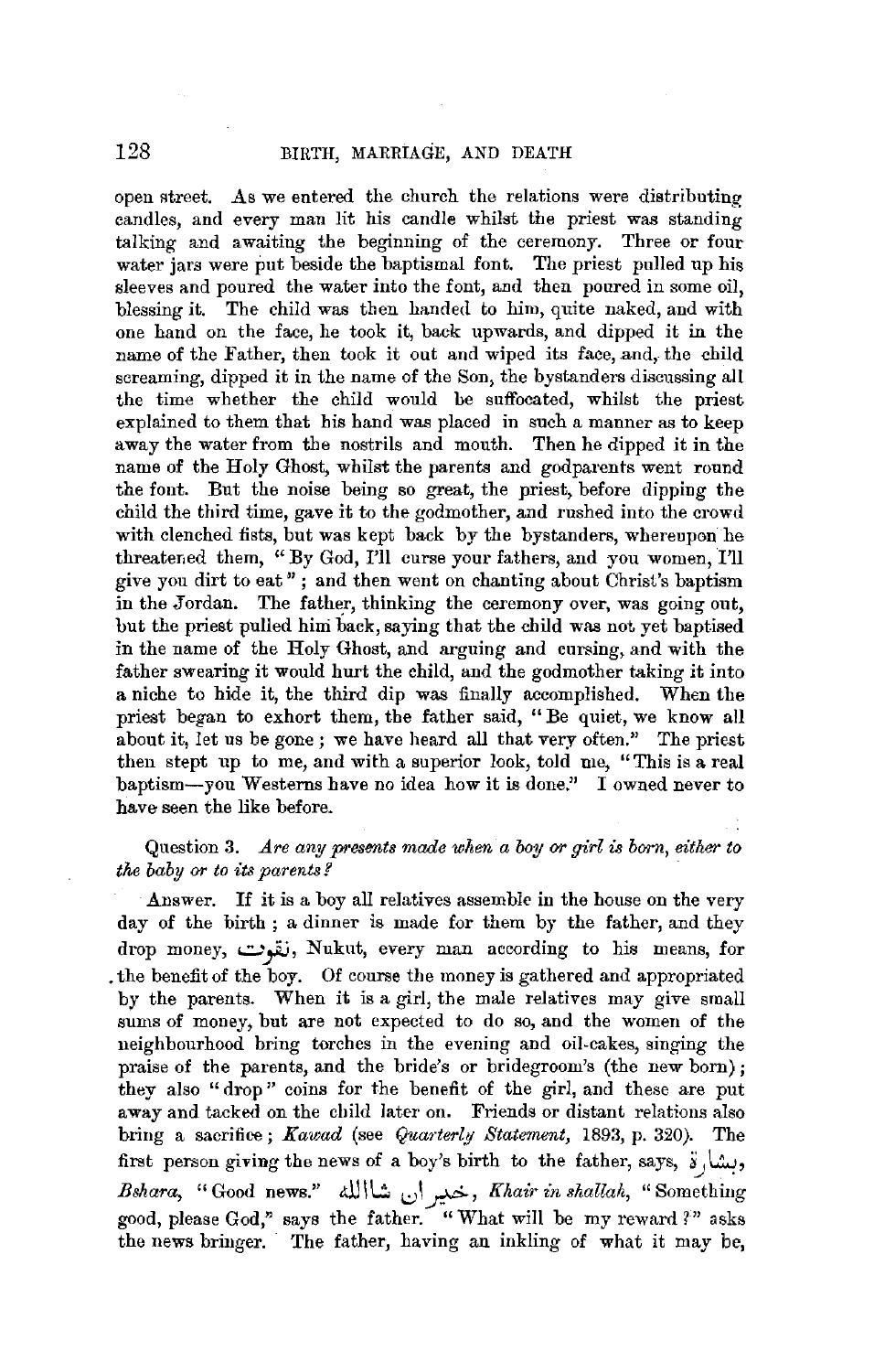open street. As we entered the church the relations were distributing candles, and every man lit his candle whilst the priest was standing talking and awaiting the beginning of the ceremony. Three or four water jars were put beside the baptismal font. The priest pulled up his sleeves and poured the water into the font, and then poured in some oil, blessing it. The child was then handed to him, quite naked, and with one hand on the face, he took it, back upwards, and dipped it in the name of the Father, then took it out and wiped its face, and, the child screaming, dipped it in the name of the Son, the bystanders discussing all the time whether the child would be suffocated, whilst the priest explained to them that his hand was placed in such a manner as to keep away the water from the nostrils and mouth. Then he dipped it in the name of the Holy Ghost, whilst the parents and godparents went round the font. But the noise being so great, the priest, before dipping the child the third time, gave it to the godmother, and rushed into the crowd with clenched fists, but was kept back by the bystanders, whereupon he threatened them, "By God, I'll curse your fathers, and you women, I'll give you dirt to eat" ; and then went on chanting about Christ's baptism in the Jordan. The father, thinking the ceremony over, was going out, but the priest pulled him back, saying that the child was not yet baptised in the name of the Holy Ghost, and arguing and cursing, and with the father swearing it would hurt the child, and the godmother taking it into a niche to hide it, the third dip was finally accomplished. When the priest began to exhort them, the father said, "Be quiet, we know all about it, let us be gone; we have heard all that very often." The priest then stept up to me, and with a superior look, told me, "This is a real baptism-you Westerns have no idea how it is done." I owned never to have seen the like before.

## Question **3.** *.Are any presents made when a boy or girl is born, either to the baby or to its parents?* ·

Answer. If it is a boy all relatives assemble **in** the house on the very day of the birth ; a dinner is made for them by the father, and they drop money, **..::..,-yw,** Nuknt, every man aecording to his means, for . the benefit of the boy. Of course the money is gathered and appropriated by the parents. When it is a girl, the male relatives may give small sums of money, but are not expected to do so, and the women of the neighbourhood bring torches in the evening and oil-cakes, singing the praise of the parents, and the bride's or bridegroom's (the new born); they also "drop" coins for the benefit of the girl, and these are put away and tacked on the child later on. Friends or distant relations also bring a sacrifice; *Kawad* (see *Quarterly Statement*, 1893, p. 320). The first person giving the news of a boy's birth to the father, says,  $\ddot{s}$ . *Bshara,* "Good news." All\\.::. l:)I~, *Khair in shallah,* "Something good, please God," says the father. "What will be my reward ?" asks the news bringer. The father, having an inkling of what it may be,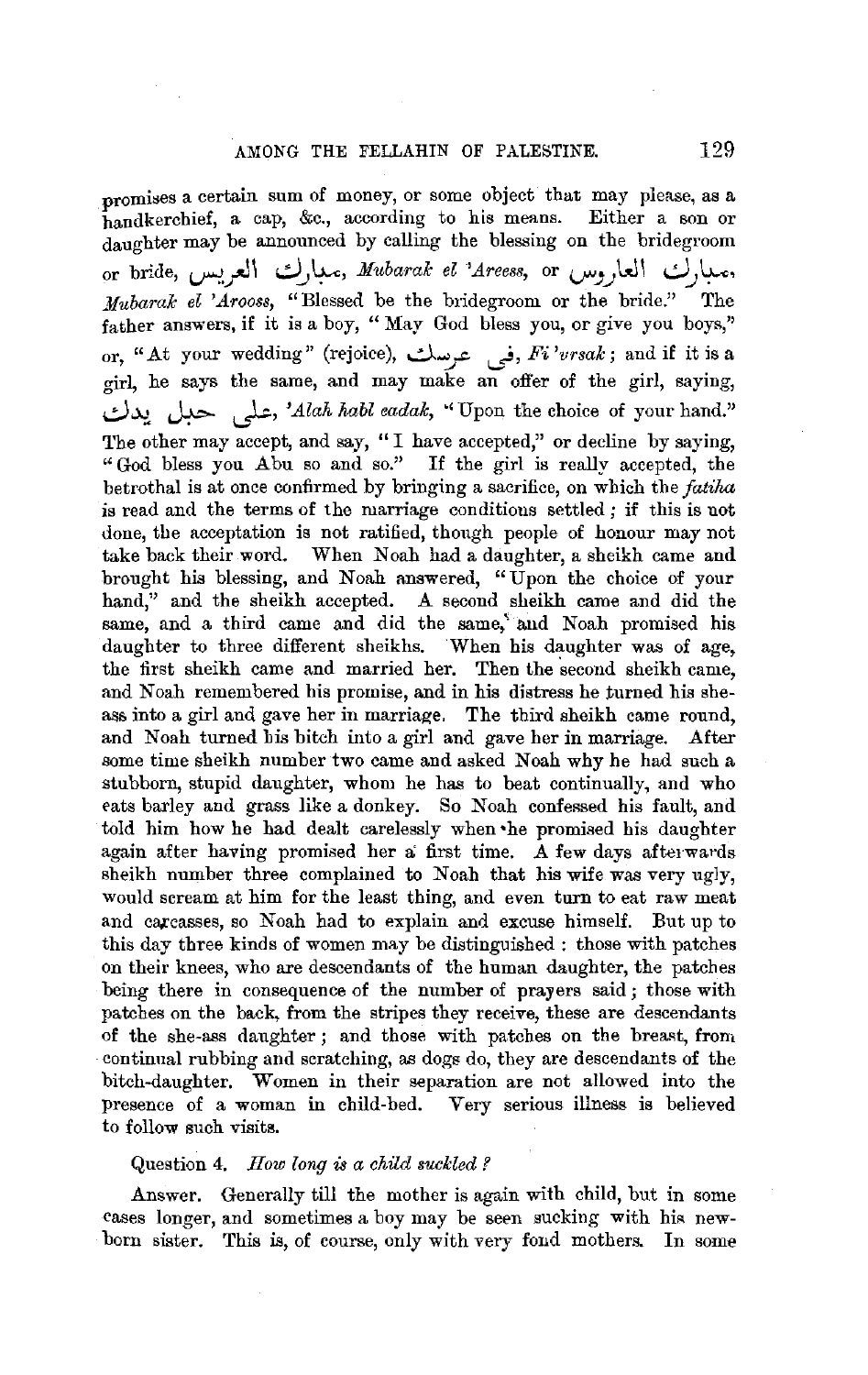promises a certain sum of money, or some object that may please, as a handkerchief, a cap, &c., according to his means. Either a son or daughter may be announced by calling the blessing on the bridegroom or bride, **~\_r-l\ ..!..J\_\_,~,** *.Mubaralc el 'Areess,* or **v".J)~I** .,0.J~' *Mubaralc el 'Arooss,* "Blessed be the bridegroom or the bride." The father answers, if it is a boy, " May God bless you, or give you boys," or, "At your wedding" (rejoice), في عرسك, *Fi'vrsak*; and if it is a girl, he says the same, and may make an offer of the girl, saying, *..:.)~* ~ *,\_}.;, 'Alah habl eadalc,* "' Upon the choice of your hand." The other may accept, and say, "I have accepted," or decline by saying, "God bless you Abu so and so." If the girl is really accepted, the betrothal is at once confirmed by bringing a sacrifice, on which the *fatiha*  is read and the terms of the marriage conditions settled; if this is not done, the acceptation is not ratified, though people of honour may not take back their word. When Noah had a daughter, a sheikh came and brought his blessing, and Noah answered, "Upon the choice of your hand," and the sheikh accepted. A second sheikh came and did the same, and a third came and did the same,' and Noah promised his daughter to three different sheikhs. When his daughter was of age, the first sheikh came and married her. Then the second sheikh came, and Noah remembered his promise, and in his distress he turned his sheass into a girl and gave her in marriage. The third sheikh came round, and Noah turned his bitch into a girl and gave her in marriage. After some time sheikh number two came and asked Noah why he had such a stubborn, stupid daughter, whom he has to beat continually, and who eats barley and grass like a donkey. So Noah confessed his fault, and told him how he had dealt carelessly when •he promised his daughter again after having promised her a first time. A few days afterwards sheikh number three complained to Noah that his wife was very ugly, would scream at him for the least thing, and even turn to eat raw meat and carcasses, so Noah had to explain and excuse himself. But up to this day three kinds of women may be distinguished : those with patches on their knees, who are descendants of the human daughter, the patches being there in consequence of the number of prayers said; those with patches on the back, from the stripes they receive, these are descendants of the she-ass daughter; and those with patches on the breast, from continual rubbing and scratching, as dogs do, they are descendants of the bitch-daughter. Women in their separation are not allowed into the presence of a woman in child-bed. Very serious illness is believed to follow such visits.

#### Question 4. *How* long is *a child suckled ?*

Answer. Generally till the mother is again with child, but in some cases longer, and sometimes a boy may be seen sucking with his newborn sister. This is, of course, only with very fond mothers. In some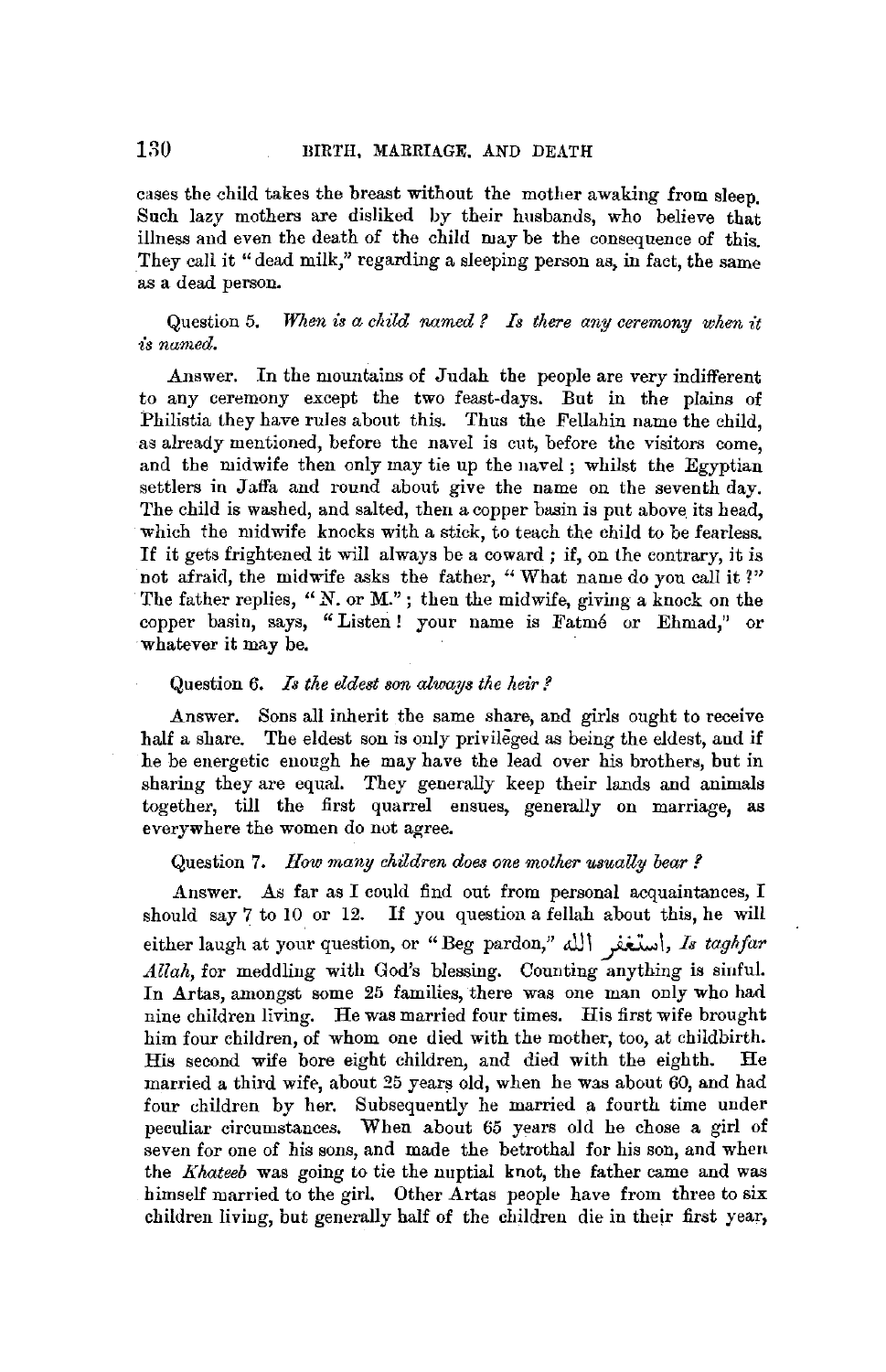cases the child takes the breast without the mother awaking from sleep. Such lazy mothers are disliked by their husbands, who believe that illness and even the death of the child may be the consequence of this. They call it "dead milk," regarding a sleeping person as, in fact, the same as a dead person.

Question 5. *When is a child named* ? *Is there any ceremony when it is named.* 

Answer. In the mountains of Judah the people are very indifferent to any ceremony except the two feast-days. But in the plains of Philistia they have rules about this. Thus the Fellahin name the child, as already mentioned, before the navel is cut, before the visitors come, and the midwife then only may tie up the navel ; whilst the Egyptian settlers in Jaffa and round about give the name on the seventh day. The child is washed, and salted, then a copper basin is put above its head, which the midwife knocks with a stick, to teach the child to be fearless. If it gets frightened it will always be a coward ; if, on the contrary, it is not afraid, the midwife asks the father, "What name do you call it?" The father replies, "N. or M."; then the midwife, giving a knock on the copper basin, says, "Listen! your name is Fatmé or Ehmad," or whatever it may be.

#### Question 6. *Is the eldest son always the heir?*

Answer. Sons all inherit the same share, and girls ought to receive half a share. The eldest son is only privileged as being the eldest, aud if he be energetic enough he may have the lead over his brothers, but in sharing they are equal. They generally keep their lands and animals together, till the first quarrel ensues, generally on marriage, **as**  everywhere the women do not agree.

#### Question **7.** *How many children does one mother usually bear?*

Answer. As far as I could find out from personal acquaintances, I should say 7 to 10 or 12. If you question a fellah about this, he will either laugh at your question, or "Beg pardon," All\ ~\, *Is taghfar Allah,* for meddling with God's blessing. Counting anything is siuful. In Artas, amongst some 25 families, there was one man only who had nine children living. He was married four times. His first wife brought him four children, of whom one died with the mother, too, at childbirth. His second wife bore eight children, and died with the eighth. He married a third wife, about 25 years old, when he was about 60, and had four children by her. Subsequently he married a fourth time under peculiar circumstances. When about 65 years old he chose a girl of seven for one of his sons, and made the betrothal for his son, and when the *Khateeb* was going to tie the nuptial knot, the father came and was himself married to the girl. Other Artas people have from three to six children living, but generally half of the children die in their first year,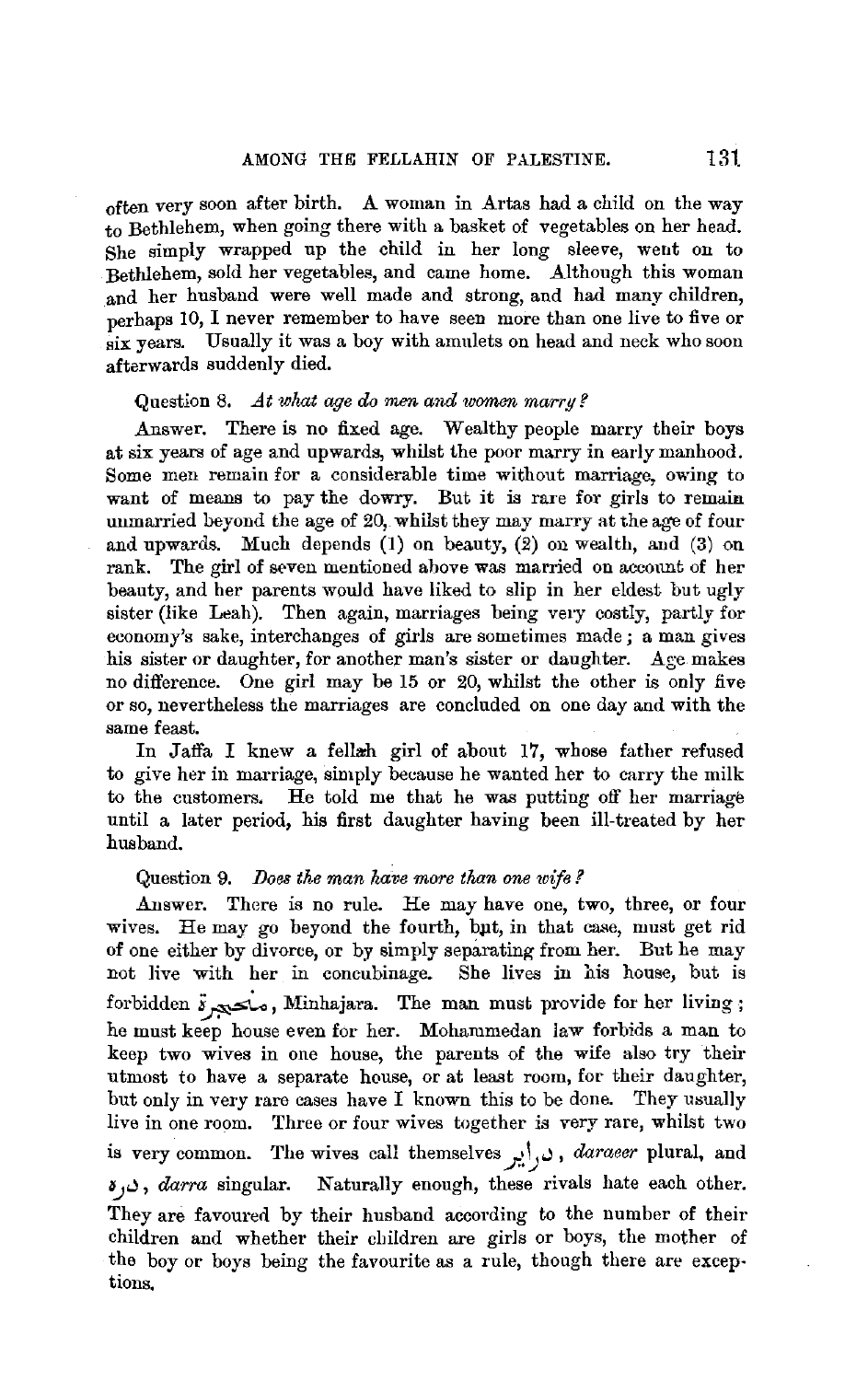often very soon after birth. A woman in Artas had a child on the way to Bethlehem, when going there with a basket of vegetables on her head. She simply wrapped up the child in her long sleeve, went on to Bethlehem, sold her vegetables, and came home. Although this woman and her husband were well made and strong, and had many children, perhaps 10, I never remember to have seen more than one live to five or six years. Usually it was a boy with amulets on head and neck who soon afterwards suddenly died.

#### Question 8. *At what age do men and women marry?*

.Answer. There is no fixed age. Wealthy people marry their boys at six years of age and upwards, whilst the poor marry in early manhood. Some men remain for a considerable time without marriage, owing to want of means to pay the dowry. But it is rare for girls to remain unmarried beyond the age of 20, whilst they may marry at the age of four and upwards. Much depends (I) on beauty, (2) ou wealth, and (3) on rank. The girl of seven mentioned above was married on account of her beauty, and her parents would have liked to slip in her eldest but ugly sister (like Leah). Then again, marriages being very costly, partly for economy's sake, interchanges of girls are sometimes made; a man gives his sister or daughter, for another man's sister or daughter. Age makes no difference. One girl may be 15 or 20, whilst the other is only five or so, nevertheless the marriages are concluded on one day and with the same feast.

In Jaffa I knew a fellah girl of about 17, whose father refused to give her in marriage, simply because he wanted her to carry the milk to the customers. He told me that he was putting off her marriage until a later period, his first daughter having been ill-treated by her husband.

#### Question 9. *Does the man have more than one wife* ?

Answer. There is no rule. He may have one, two, three, or four wives. He may go beyond the fourth, bpt, in that case, must get rid of one either by divorce, or by simply separating from her. But he may not live with her in concubinage. She lives in his house, but is forbidden  $s_{\infty}$ , Minhajara. The man must provide for her living; he must keep house even for her. Mohammedan law forbids a man to keep two wives in one house, the parents of the wife also try their utmost to have a separate house, or at least room, for their daughter, but only in very rare cases have I known this to be done. They usually live in one room. Three or four wives together is very rare, whilst two is very common. The wives call themselves ,  $c, i$ ,  $d$  *araeer* plural, and ~..I, *darra* singular. Naturally enough, these rivals hate each other. They are favoured by their husband according to the number of their children and whether their children are girls or boys, the mother of the boy or boys being the favourite as a rule, though there are exceptions.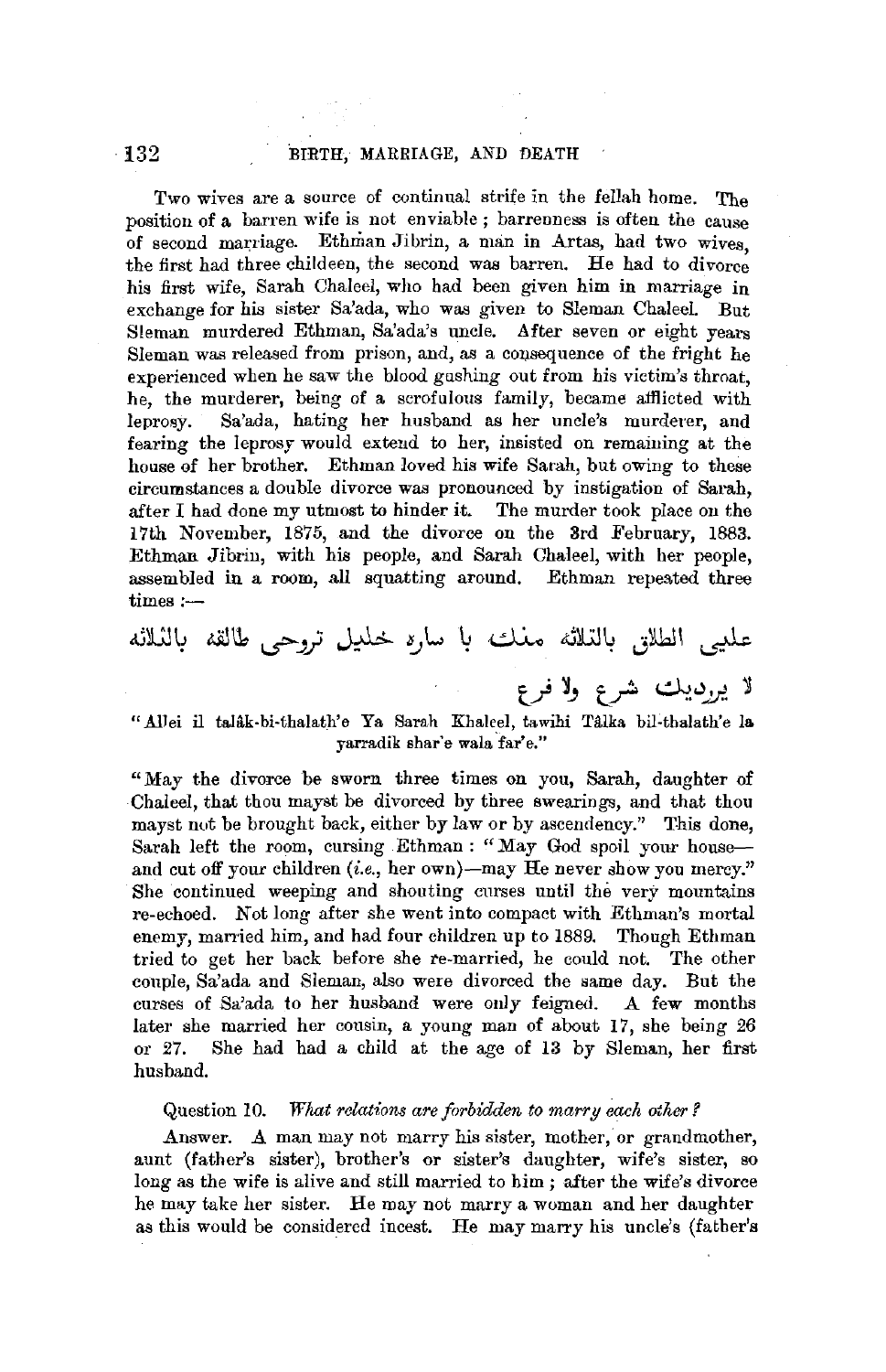Two wives are a source of continual strife in the fellah home. The position of a barren wife is not enviable ; barrenness is often the cause of second marriage. Ethman Jibrin, a man in Artas, had two wives, the first had three childeen, the second was barren. He had to divorce his first wife, Sarah Chaleel, who had been given him in marriage in exchange for his sister Sa'ada, who was given to Sleman Chaleel. But Steman murdered Ethman, Sa'ada's uncle. After seven or eight years Sleman was released from prison, and, as a consequence of the fright he experienced when he saw the blood gushing out from his victim's throat, he, the murderer, being of a scrofulous family, became afflicted with leprosy. Sa'ada, hating her husband as her uncle's murderer, and fearing the leprosy would extend to her, insisted on remaining at the house of her brother. Ethman loved his wife Sarah, but owing to these circumstances a double divorce was pronounced by instigation of Sarah, after I had done my utmost to hinder it. The murder took place on the 17th November, 1875, and the divorce on the 3rd February, 1883. Ethman Jibrin, with his people, and Sarah Chaleel, with her people, assembled in a room, all squatting around. Ethman repeated three times:-

# عليي الطلاق بالتلائه مغلت با ساره خليل تروحي طالقه بالثلاثه لا پېړېږيك شرع ولا فرع

## "Allei il talâk-bi-thalath'e Ya Sarah Khaleel, tawihi Tâlka bil-thalath'e la yarradik shar'e wala far'e."

"May the divorce be sworn three times on you, Sarah, daughter of Chaleel, that thou mayst be divorced by three sweariogs, and that thou mayst not be brought back, either by law or by ascendency." This done, Sarah left the room, cursing Ethman : "May God spoil your houseand cut off your children  $(i.e., her own)$ —may He never show you mercy." She continued weeping and shouting curses until the very mountains re-echoed. Not long after she went into compact with Ethman's mortal enemy, married him, and had four children up to 1889. Though Ethman tried to get her back before she re-married, he could not. The other couple, Sa'ada and Sleman, also were divorced the same day. But the curses of Sa'ada to her husband were only feigned. A few months later she married her cousin, a young man of about 17, she being 26 or 27. She had had a child at the age of 13 by Sleman, her first husband.

#### Question 10. *What relations are forbidden to marry each other?*

Answer. A man may not marry his sister, mother, or grandmother, aunt (father's sister), brother's or sister's daughter, wife's sister, so long as the wife is alive and still married to him ; after the wife's divorce he may take her sister. He may not marry a woman and her daughter as this would be considered incest. He may marry his uncle's (father's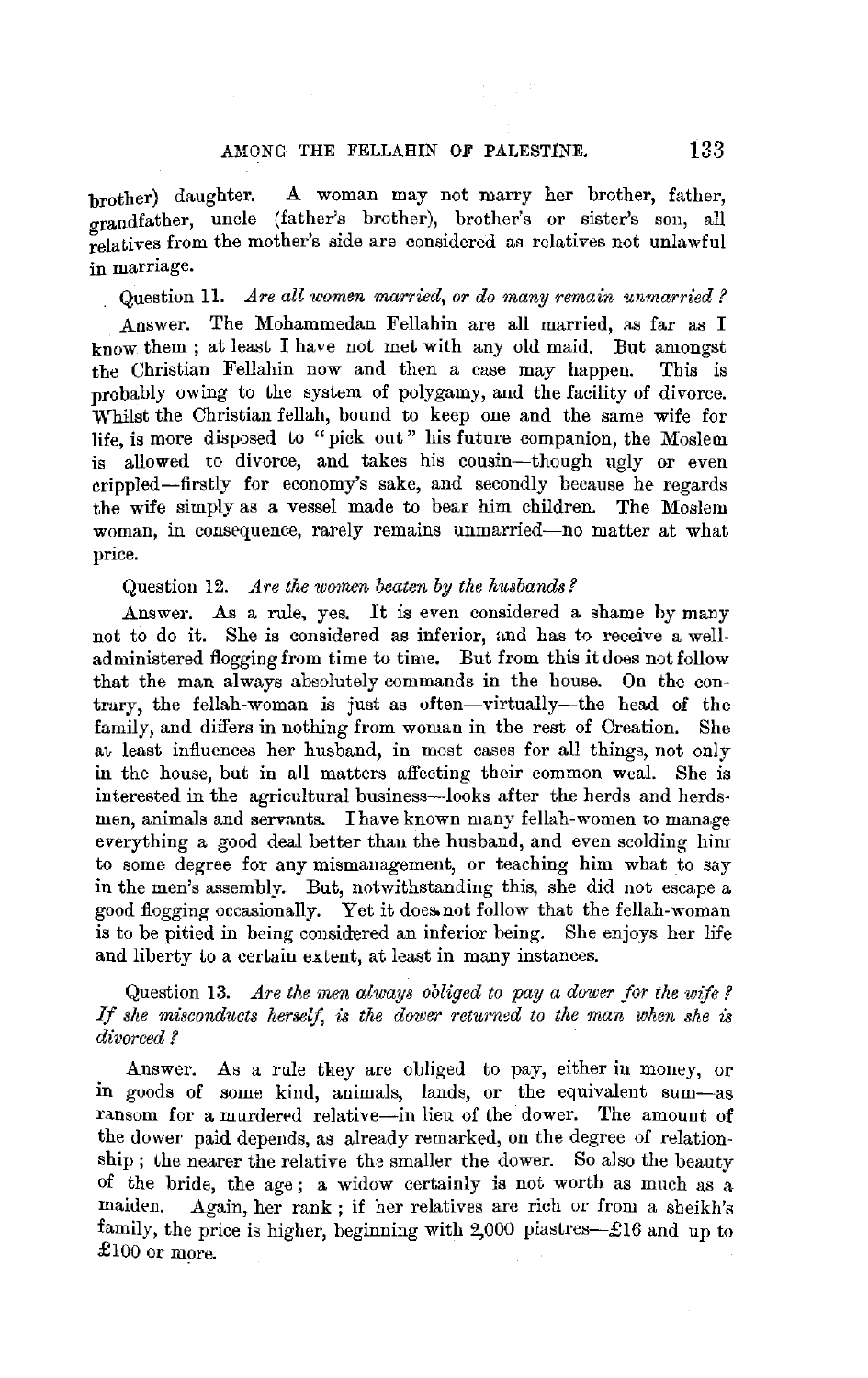## AMONG THE FELLAHIN OF PALESTINE. 133

brother) daughter. A woman may not marry her brother, father, grandfather, uncle (father's brother), brother's or sister's son, all relatives from the mother's side are considered as relatives not unlawful in marriage.

Question 11. *.Are all women married, or do many remain unmarried?* 

Answer. The Mohammedan Fellahin are all married, as far as I know them ; at least I have not met with any old maid. But amongst the Christian Fellahin now and then a case may happen. This is probably owing to the system of polygamy, and the facility of divorce. Whilst the Christian fellah, bound to keep one and the same wife for life, is more disposed to "pick out" his future companion, the Moslem is allowed to divorce, and takes his cousin-though ugly or even crippled-firstly for economy's sake, and secondly because he regards the wife simply as a vessel made to bear him children. The Moslem woman, in consequence, rarely remains unmarried-no matter at what price.

#### Question 12. *Are the women beaten by the husbands?*

Answer. As a rule, yes. It is even considered a shame by many not to do it. She is considered as inferior, and has to receive a welladministered flogging from time to time. But from this it does not follow that the man always absolutely commands in the house. On the contrary, the fellah-woman is just as often-virtually-the head of the family, and differs in nothing from woman in the rest of Creation. She at least influences her husband, in most cases for all things, not only in the house, but in all matters affecting their common weal. She is interested in the agricultural business-looks after the herds and herdsmen, animals and servants. I have known many fellah-women to manage everything a good deal better than the husband, and even scolding him to some degree for any mismanagement, or teaching him what to say in the men's assembly. But, notwithstanding this, she did not escape a good flogging occasionally. Yet it does not follow that the fellah-woman is to be pitied in being considered an inferior being. She enjoys her life and liberty to a certain extent, at least in many instances.

## Question 13. *Are the men always obliged to pay a dower for the wife?* If she misconducts herself, is the dower returned to the man when she is *divorced?*

Answer. As a rule they are obliged to pay, either in money, or in goods of some kind, animals, lands, or the equivalent sum-as ransom for a murdered relative-in lieu of the dower. The amount of the dower paid depends, as already remarked, on the degree of relationship ; the nearer the relative the smaller the dower. So also the beauty of the bride, the age ; a widow certainly is not worth as much as a maiden. Again, her rank ; if her relatives are rich or from a sheikh's family, the price is higher, beginning with 2,000 piastres-£16 and up to £100 or more.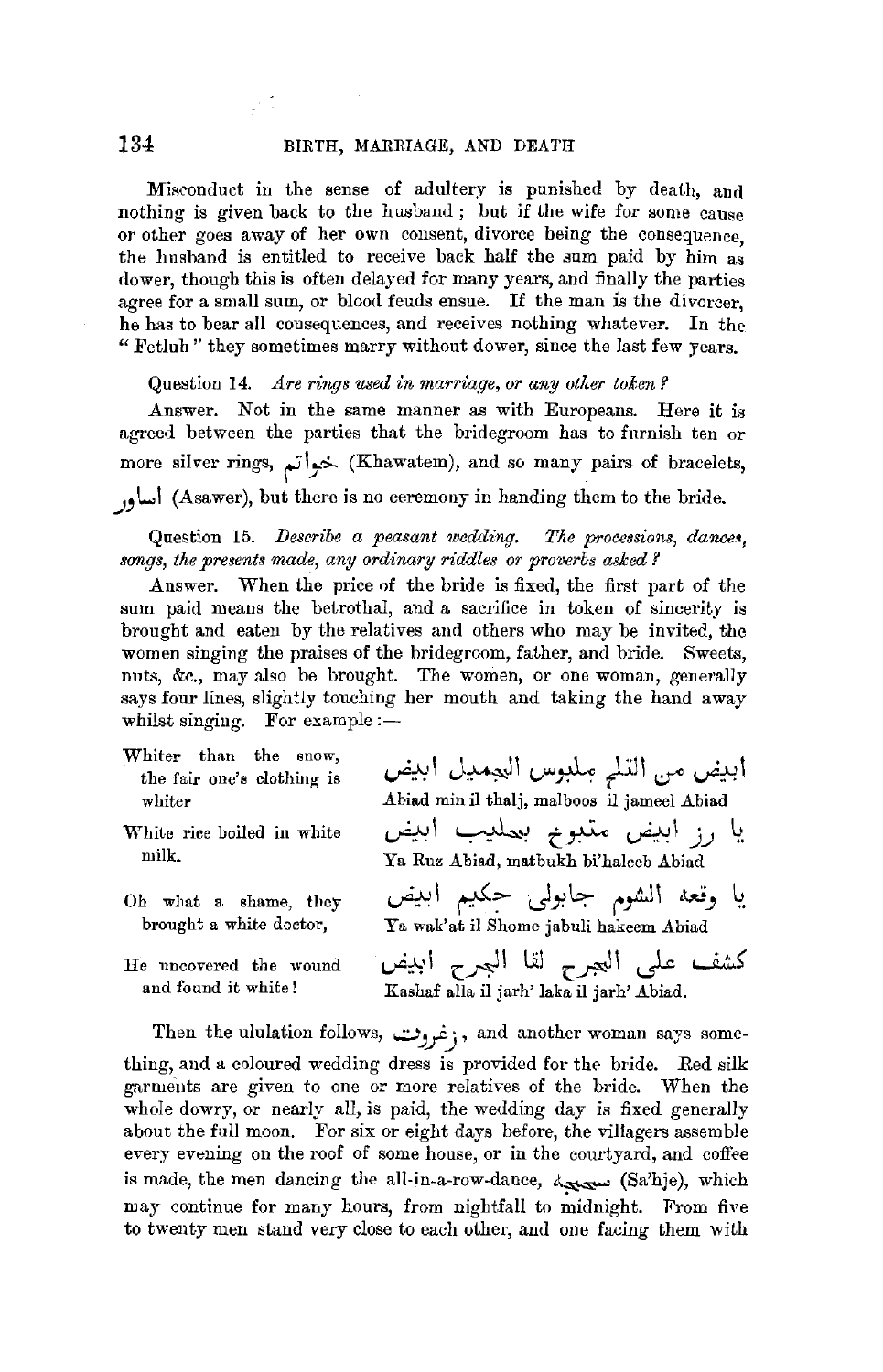#### 134 BIRTH, MARRIAGE, AND DEATH

Misconduct in the sense of adultery is punished by death, and nothing is given back to the husband; but if the wife for some cause or other goes away of her own consent, divorce being the consequence, the husband is entitled to receive back half the sum paid by him as dower, though this is often delayed for many years, and finally the parties agree for a small sum, or blood feuds ensue. If the man is the divorcer, he has to bear all consequences, and receives nothing whatever. In the " Fetluh " they sometimes marry without dower, since the last few years.

Question 14. *Are rings used in marriage, or any other token?* 

Answer. Not in the same manner as with Europeans. Here it is agreed between the parties that the bridegroom has to furnish ten or more silver rings, *f* 1\_,.~ (Khawatem), and so many pairs of bracelets, *.J'* \..,l (Asawer), but there is no ceremony in handing them to the bride.

Question 15. *Describe a peasant wedding. The processions, dances, songs, the presents made, any ordinary riddles or proverbs asked ?* 

Answer. When the price of the bride *is* fixed, the first part of the sum paid means the betrothal, and a sacrifice in token of sincerity is brought and eaten by the relatives and others who may be invited, the women singing the praises of the bridegroom, father, and bride. Sweets, nuts, &c., may also be brought. The women, or one woman, generally says four lines, slightly touching her mouth and taking the hand away whilst singing. For example  $:$  -

- Whiter than the snow, the fair one's clothing is whiter
- White rice boiled in white milk.
- Oh what a shame, they brought a white doctor,
- He uncovered the wound and found it white!

ابيض من التل<sub>ع</sub> ملبوس البجميل ابيض Abiad min il thalj, malboos il jameel Abiad يا رز ابيض متبوم بعليب ابيض Ya Ruz Abiad, matbukh bi'haleeb Abiad

يا وقعه الشوم جابول<sub>ى</sub> حكيم اب*يض*<br>Ya wak'at il Shome jabuli hakeem Abiad

كشف على ال<sub>ل</sub>جرح لقا البجرح ابيض Rashaf alla il jarh' laka ii jarh' Abiad.

Then the ululation follows, بن غروت; , and another woman says something, and a coloured wedding dress is provided for the bride. Red silk garments are given to one or more relatives of the bride. When the whole dowry, or nearly all, is paid, the wedding day is fixed generally about the full moon. For six or eight days before, the villagers assemble every evening on the roof of some house, or in the courtyard, and coffee is made, the men dancing the all-in-a-row-dance,  $\Delta x$  (Sa'hje), which may continue for many hours, from nightfall to midnight. From five to twenty men stand very close to each other, and one facing them with

ar Tor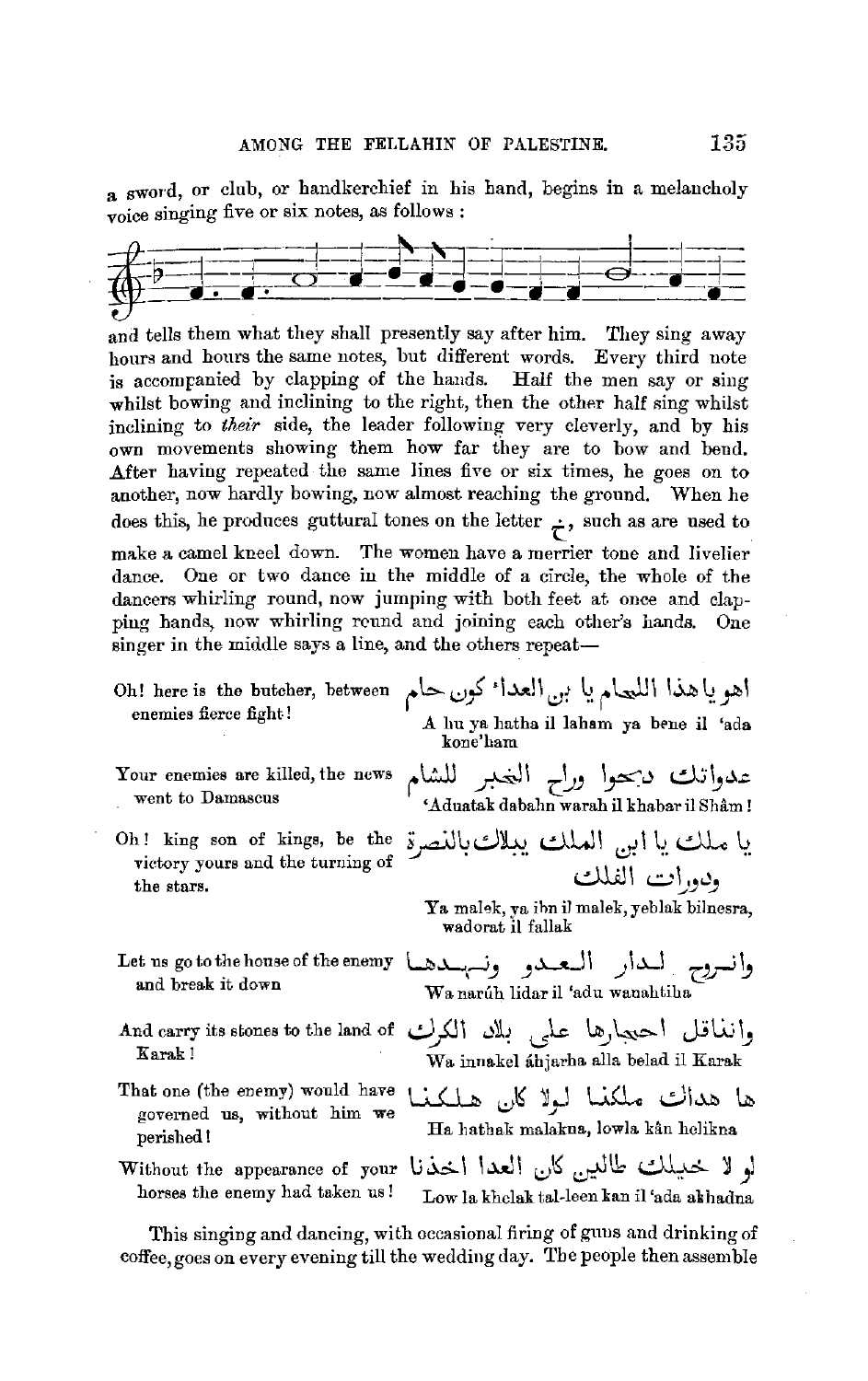a sword, or club, or handkerchief in his hand, begins in a melancholy voice singing five or six notes, as follows :



and tells them what they shall presently say after him. They sing away hours and hours the same notes, but different words. Every third note is accompanied by clapping of the hands. Half the men say or sing whilst bowing and inclining to the right, then the other half sing whilst inclining to *their* side, the leader following very cleverly, and by his own movements showing them how far they are to bow and bend. .After having repeated the same lines five or six times, he goes on to another, now hardly bowing, now almost reaching the ground. When he does this, he produces guttural tones on the letter  $\div$ , such as are used to make a camel kneel down. The women have a merrier tone and livelier dance. One or two dance in the middle of a circle, the whole of the dancers whirling round, now jumping with both feet at once and clapping hands, now whirling rcund and joining each other's hands. One singer in the middle says a line, and the others repeat-

- اهو ياهذا اللحام يا بن العدا<sup>ء</sup> كون حام Oh! here is the butcher, between enemies fierce fight! A lm ya liatha il laham ya bene il 'ada kone'ham
- Your enemies are killed, the news went to Damascus
- Oh ! king son of kings, be the victory yours and the turning of the stars.
- Let us go to the house of the enemy **U..L...-J J**
- Karak !
- governed us, without him we
- 
- 
- 
- 

عدواتك دبحوا وراح الغبر للشام 'Aduatak dabahn warah il khabarilShil.m !

يا ملك يا ابن الملك يبلاكبالنصرة ودورات الفلك

Ya malek, ya ihn il malek, yeblak bilnesra, wadorat il fallak

- وانسروح الحار التعبدو ونسهبندها t us go to the house of the enemy<br>and break it down We pay it lides it feds wenebting Wanariih lidaril 'adu wanahtiha
- وانغاقل احتجارها علمي بللد الكرك And carry its stones to the land of Wa innakel ahjarha alla belad il Karak
- That one (the enemy) would have  $\bigcup_{\alpha} A$  and  $\bigcup_{\alpha} A$  and  $\bigcup_{\alpha} A$  lib  $\bigcup_{\alpha} A$  is  $\bigcup_{\alpha} A$  in  $\bigcap_{\alpha} A$  is a set of the set of  $\bigcup_{\alpha} A$  and  $\bigcap_{\alpha} A$  is a set of  $\bigcap_{\alpha} A$  and  $\bigcap_{\alpha} A$  is a set of  $\bigcap_{\$ perished! Ha hathak malakna, lowla kân helikna
- لو لا خليلك طالبين كان العدا اخذنا without the appearance of your<br>horses the enemy had taken us! . Jow is kholak takleen kan il jada akhadna Low la khelak tal-leen kan il 'ada akhadna

This singing and dancing, with occasional firing of guns and drinking of coffee,goes on every evening till the wedding day. The people then assemble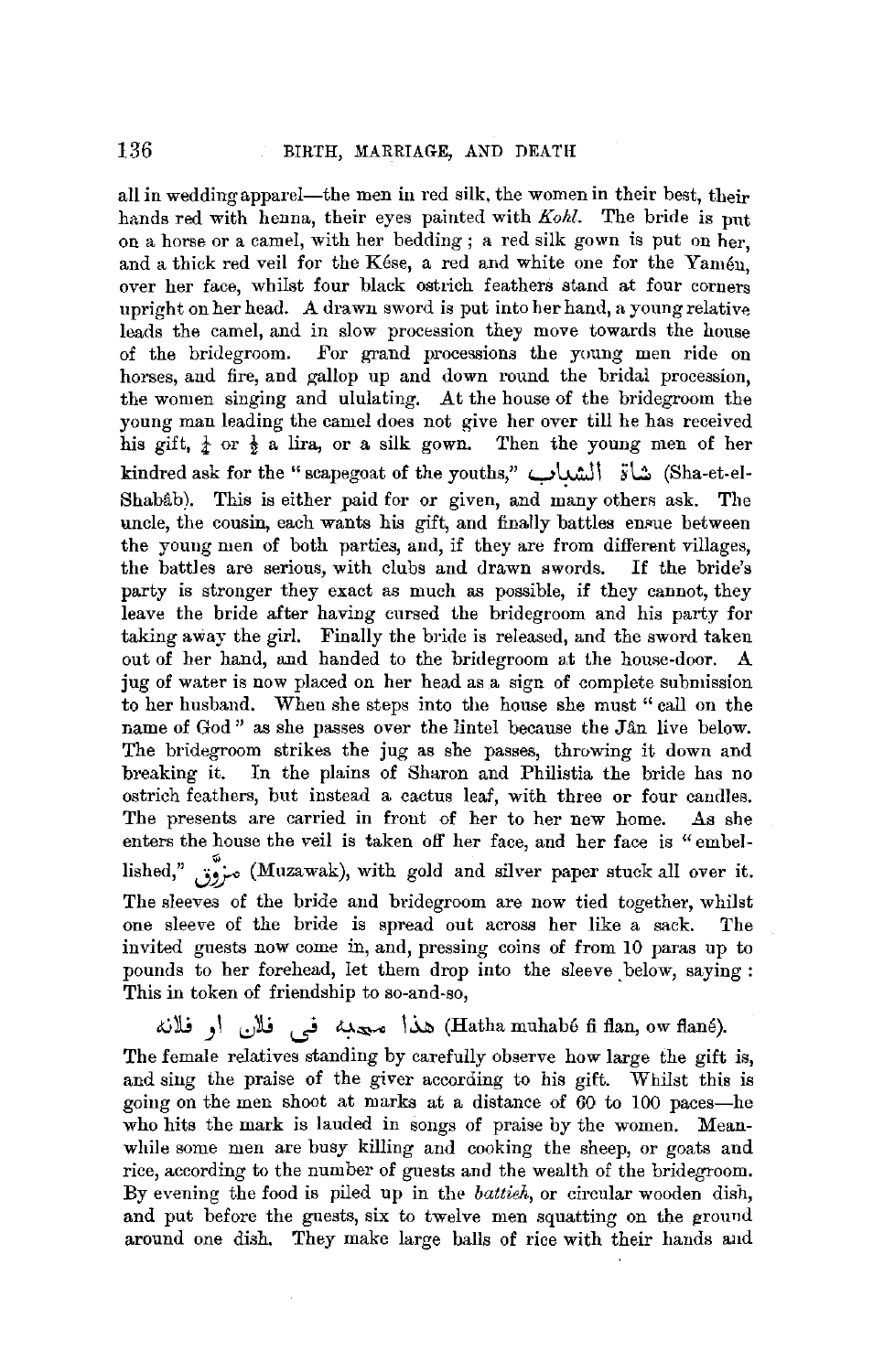all in wedding apparel—the men in red silk, the women in their best, their hands red with henna, their eyes painted with *Kohl.* The bride is put ou a horse or a camel, with her bedding ; a red silk gown is put on her, and a thick red veil for the Kese, a red and white one for the Yamen, over her face, whilst four black ostrich feathers stand at four corners upright on her head. A drawn sword is put into her hand, a young relative leads the camel, and in slow procession they move towards the house of the bridegroom. For grand processions the young men ride on horses, and fire, and gallop up and down round the bridal procession, the women singing and ululating. At the house of the bridegroom the young man leading the camel does not give her over till he has received his gift,  $\frac{1}{4}$  or  $\frac{1}{2}$  a lira, or a silk gown. Then the young men of her kindred ask for the "scapegoat of the youths," شاة الشداب "kindred ask for the "scapegoat of the youths, Shabâb). This is either paid for or given, and many others ask. The uncle, the cousin, each wants his gift, and finally battles ensue between the young men of both parties, and, if they are from different villages, the battles are serious, with clubs and drawn swords. If the bride's party is stronger they exact as much as possible, if they cannot, they leave the bride after having cursed the bridegroom and his party for taking away the girl. Finally the bride is released, and the sword taken out of her hand, and handed to the bridegroom at the house-door. A jug of water is now placed on her head as a sign of complete submission to her husband. When she steps into the house she must "call on the name of God" as she passes over the lintel because the Jan live below. The bridegroom strikes the jug as she passes, throwing it down and breaking it. In the plains of Sharon and Philistia the bride has no ostrich feathers, but instead a cactus leaf, with three or four candles. The presents are carried in front of her to her new home. As she enters the house the veil is taken off her face, and her face is "embellished," **J~** (Muzawak), with gold and silver paper stuck all over it. The sleeves of the bride and bridegroom are now tied together, whilst one sleeve of the bride is spread out across her like a sack. The invited guests now come in, and, pressing coins of from 10 paras up to pounds to her forehead, let them drop into the sleeve below, saying : This in token of friendship to so-and-so,

.iii. هذا محدبه في فلان او فلانه) (Hatha muhabé fi flan, ow flané). The female relatives standing by carefully observe how large the gift is, and sing the praise of the giver according to his gift. Whilst this is going on the men shoot at marks at a distance of 60 to 100 paces-he who hits the mark is lauded in songs of praise by the women. Meanwhile some men are busy killing and cooking the sheep, or goats and rice, according to the number of guests and the wealth of the bridegroom. By evening the food is piled up in the *battieh,* or circular wooden dish, and put before the guests, six to twelve men squatting on the ground around one dish. They make large balls of rice with their hands and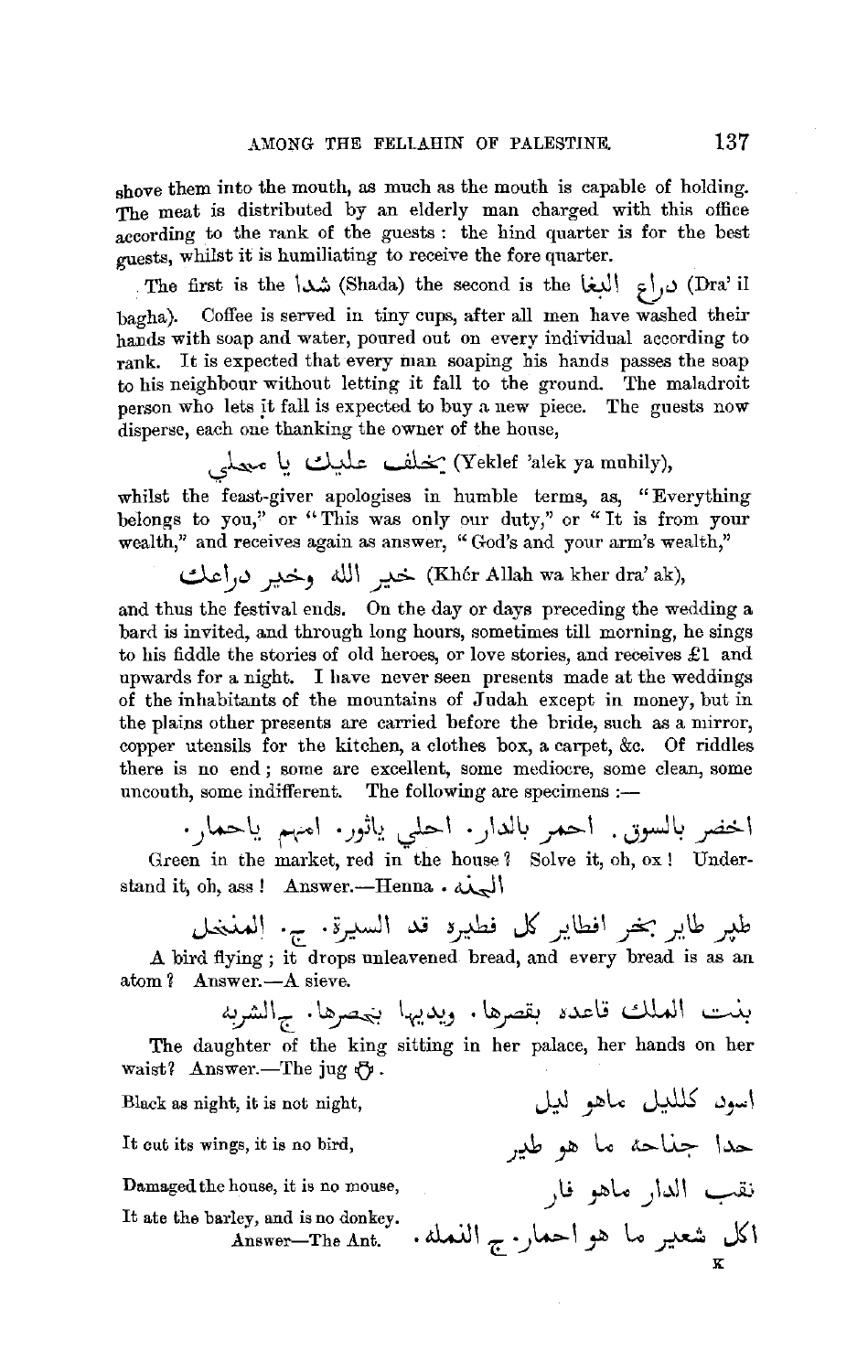shove them into the mouth, as much as the mouth is capable of holding. The meat is distributed by an elderly man charged with this office according to the rank of the guests : the hind quarter is for the best guests, whilst it is humiliating to receive the fore quarter.

The first is the \شد\ (Shada) the second is the  $\int u \, dx$  Ura' il bagha). Coffee is served in tiny cups, after all men have washed their hands with soap and water, poured out on every individual according to rank. It is expected that every man soaping his hands passes the soap to his neighbour without letting it fall to the ground. The maladroit person who lets it fall is expected to buy a new piece. The guests now disperse, each one thanking the owner of the house,

. (Yeklef 'alek ya muhily) يُخْلُف عَلَيْك يَا مَعْلَمي

whilst the feast-giver apologises in humble terms, as, "Everything belongs to you," or "This was only our duty," or "It is from your

wealth," and receives again as answer, " God's and your arm's wealth," d,.c ~.) *r,* ,ill\ *r* (Kh6r Allah wa kher dra' ak),

and thus the festival ends. On the day or days preceding the wedding a bard is invited, and through long hours, sometimes till morning, he sings to his fiddle the stories of old heroes, or love stories, and receives  $\pounds 1$  and upwards for a night. I have never seen presents made at the weddings of the inhabitants of the mountains of Judah except in money, but in the plains other preeents are carried before the bride, such as a mirror, copper utensils for the kitchen, a clothes box, a carpet, &c. Of riddles there is no end ; some are excellent, some mediocre, some clean, some uncouth, some indifferent. The following are specimens :-

اخضر بالسوق. احمر بالدار· احلبي ياثور· امهم ياحما<sub>ر</sub>· Green in the market, red in the house ? Solve it, oh, ox! Understand it, oh, ass! Answer.--Henna.  $d\mathbf{x}$ 

طَيْرِ طَايْرِ بَخْرِ افْطَايْرِ كُلّ فْطَيْرَةِ قْدْ السَّيْرَةِ. ج. الْمَنْخَلْ<br>A bird flying; it drops unleavened bread, and every bread is as an atom ? Answer.--A sieve.

بنت العلك قاعده بقصرها. ويديها ب<sub>ح</sub>صرها. <sub>ج</sub>الشربه The daughter of the king sitting in her palace, her hands on her waist? Answer.-The jug  $\mathcal{O}$ .

> اسو*د ک*للڍل ماهو لڍل حدا جناحه ما هو طي<sub>ب</sub>ر

> > نقب الدار ماهو فا<sub>ر</sub>

**K** 

اكل شعير ما هو احمار<sub>· ج</sub> النمله.

Black as night, it is not night,

It cut its wings, it is no bird,

Damaged the house, it is no mouse,

It ate the barley, and is no donkey. Answer-The Ant.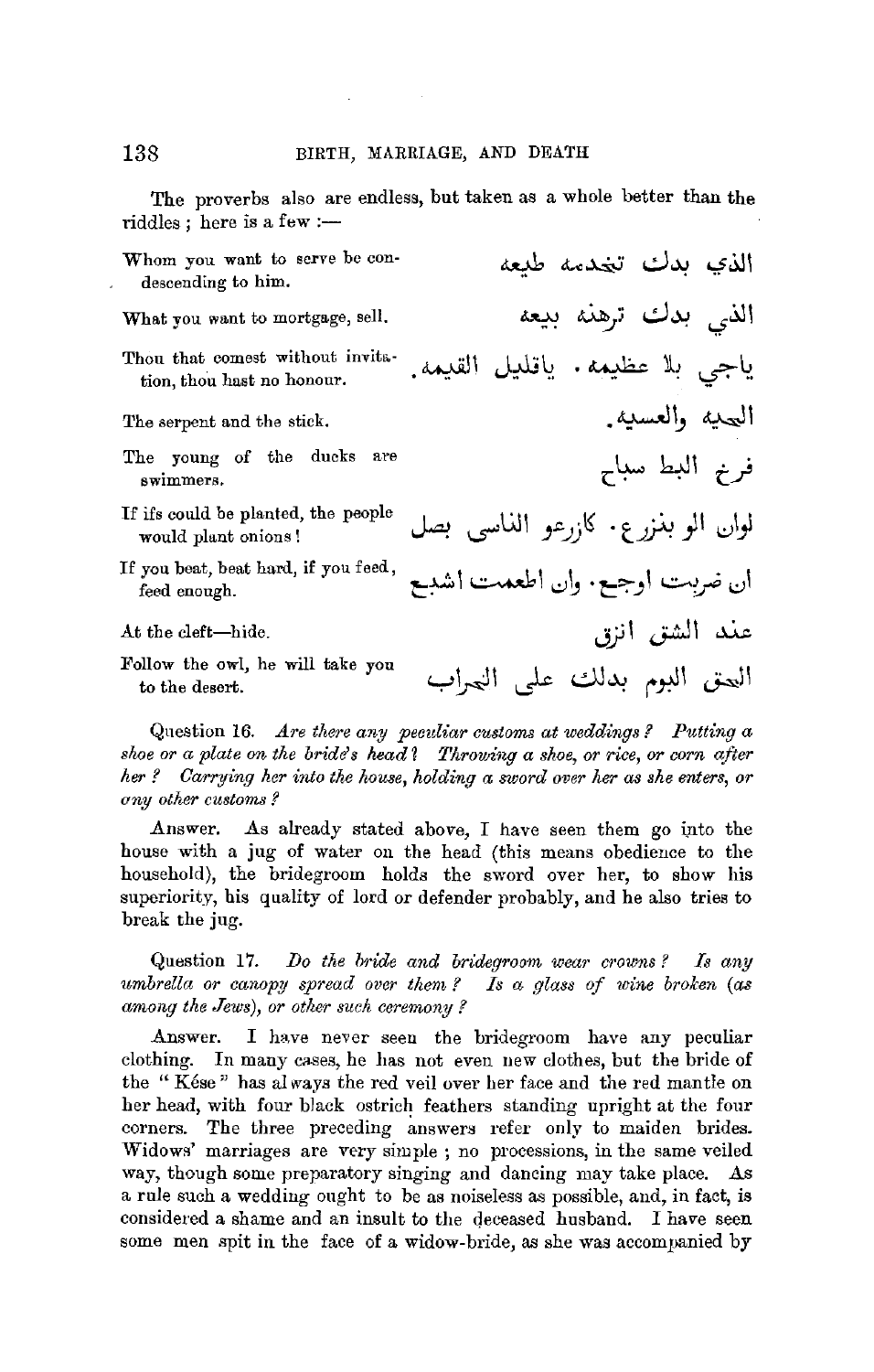The proverbs also are endless, but taken as a whole better than the  $riddles$ ; here is a few :-

Whom you want to serve be condescending to him. What you want to mortgage, sell. Thou that comest without invitation, thou hast no honour. The serpent and the stick. The young of the ducks are swimmers. If ifs could be planted, the people would plant onions ! If you beat, beat hard, if you feed, feed enough. At the cleft-hide. Follow the owl, he will take you to the desert. الذ<sup>ى</sup> بدك تخدمه طبعه الذ<sub>ي</sub> بدك ترهنه بيعه ياجي بلا عظيمه. ياقليل القيمه. البيحيه والعسبيه. فرنم البط سباح لوان الو بذ<sub>ُ</sub>ر ع. كا<sub>ز</sub>رعو الذاسي بصل **t:~** 1 ~ <sup>1</sup>*I;}* b . **t::=:-J** 1 *i.;;\_.,.)~* .:JI عند الشق انزق العتى البوم بدلك على العراب

Qnestion 16. *Are there any peculiar customs at weddings* ? *Putting a*  shoe or a plate on the bride's head? Throwing a shoe, or rice, or corn after *her ? Carrying her into the house, holding a sword over her as she enters, or uny other customs* ?

Answer. As already stated above, I have seen them go into the house with a jug of water on the head (this means obedience to the household), the bridegroom holds the sword over her, to show his superiority, his quality of lord or defender probably, and he also tries to break the jug.

Question 17. *IJo the bride and bridegroom wear crowns ? Is any umbrella or canopy spread over them?* Is a glass of wine broken (as *among the Jews), or other such ceremony?* 

Answer. I have never seen the bridegroom have any peculiar clothing. In many cases, he has not even new clothes, but the bride of the " Kese " has al ways the red veil over her face and the red mantle on her head, with four black ostrich feathers standing upright at the four corners. The three preceding answers refer only to maiden brides. Widows' marriages are very simple ; no processions, in the same veiled way, though some preparatory singing and dancing may take place. As a rule such a wedding ought to be as noiseless as possible, and, in fact, is considered a shame and an insult to the deceased husband. I have seen some men spit in the face of a widow-bride, as she was accompanied by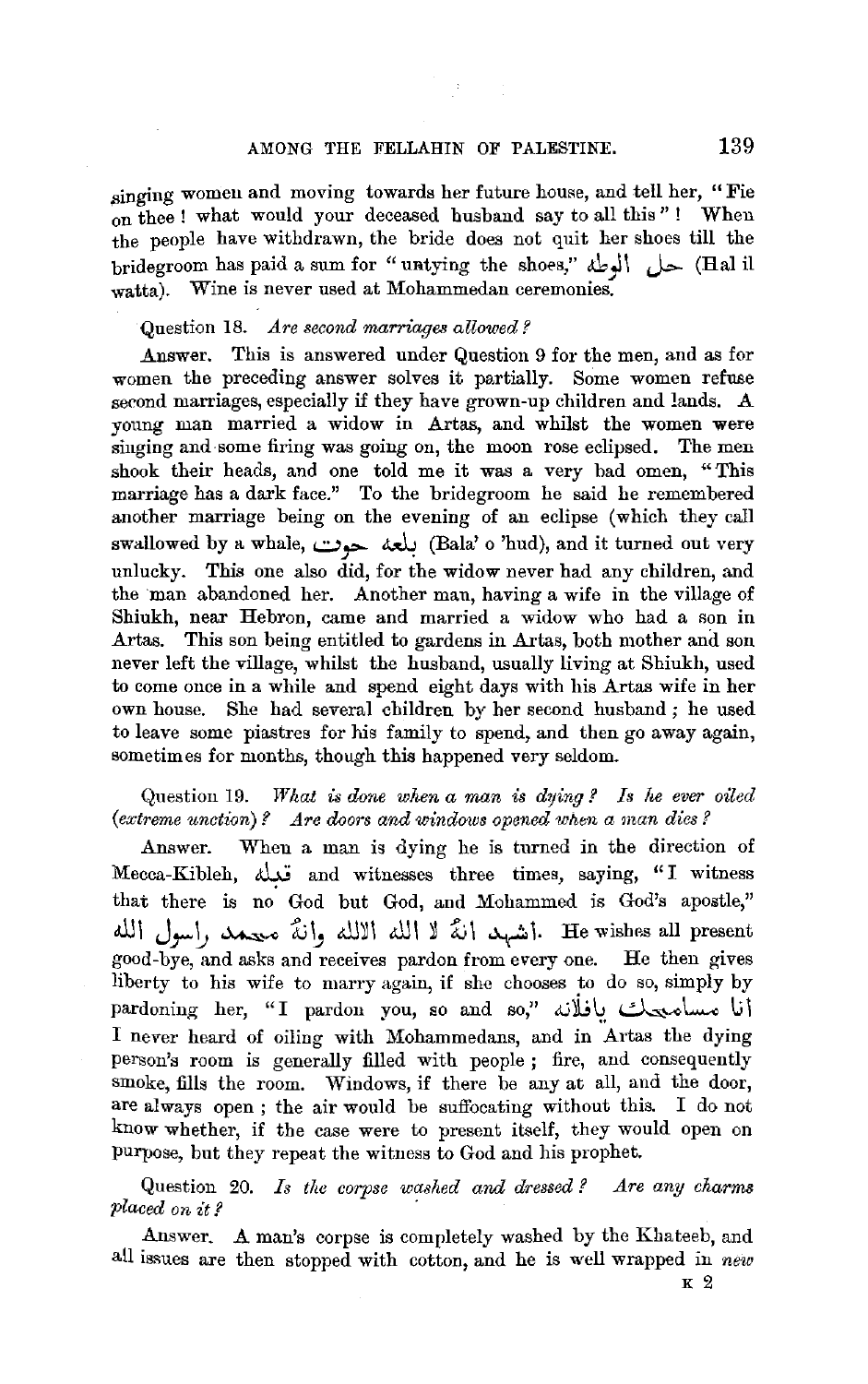## AMONG THE FELLAHIN OF PALESTINE. 139

singing women and moving towards her future house, and tell her, "Fie on thee ! what would your deceased husband say to all this" ! When the people have withdrawn, the bride does not quit her shoes till the bridegroom has paid a sum for "untying the shoes,"  $\bigcup$ . (Hal il watta). Wine is never used at Mohammedan ceremonies.

#### Question 18. *Are second marriages allowed?*

Answer. This is answered under Question 9 for the men, and as for women the preceding answer solves it partially. Some women refuse second marriages, especially if they have grown-up children and lands. A young man married a widow in Artas, and whilst the women were singing and some firing was going on, the moon rose eclipsed. The men shook their heads, and one told me it was a very bad omen, "This marriage has a dark face." To the bridegroom he said he remembered another marriage being on the evening of an eclipse (which they call swallowed by a whale, يلعه حوت. (Bala' o 'hud), and it turned out very unlucky. This one also did, for the widow never had any children, and the man abandoned her. Another man, having a wife in the village of Shiukh, near Hebron, came and married a widow who had a son in Artas. This son being entitled to gardens in Artas, both mother and son never left the village, whilst the husband, usually living at Shiukh, used to come once in a while and spend eight days with his Artas wife in her own house. She had several children by her second husband ; he used to leave some piastres for his family to spend, and then go away again, sometimes for months, though this happened very seldom.

## Question 19. *What is done when a man* is *dying ? Is he ever oiled*  (extreme unction)? Are doors and windows opened when a man dies?

Answer. When a man is dying he is turned in the direction of Mecca-Kibleh, تعلل and witnesses three times, saying, "I witness that there is no God but God, and Mohammed is God's apostle," i. He wishes all present. أشهد أنَّه لا الله الالله وأنَّه معيد , إسول الله good-bye, and asks and receives pardon from every one. He then gives liberty to his wife to marry again, if she chooses to do so, simply by pardoning her, "I pardon you, so and so," بافلانه  $\mathcal{L}$ I never heard of oiling with Mohammedans, and in Artas the dying person's room is generally filled with people ; fire, and consequently smoke, fills the room. Windows, if there be any at all, and the door, are always open ; the air would be suffocating without this. I do not know whether, if the case were to present itself, they would open on purpose, but they repeat the witness to God and his prophet.

Question 20. *Is the corpse washed and dressed ? Are any charms placed on it l* 

Answer. A man's corpse is completely washed by the Khateeb, and all issues are then stopped with cotton, and he is well wrapped in *new*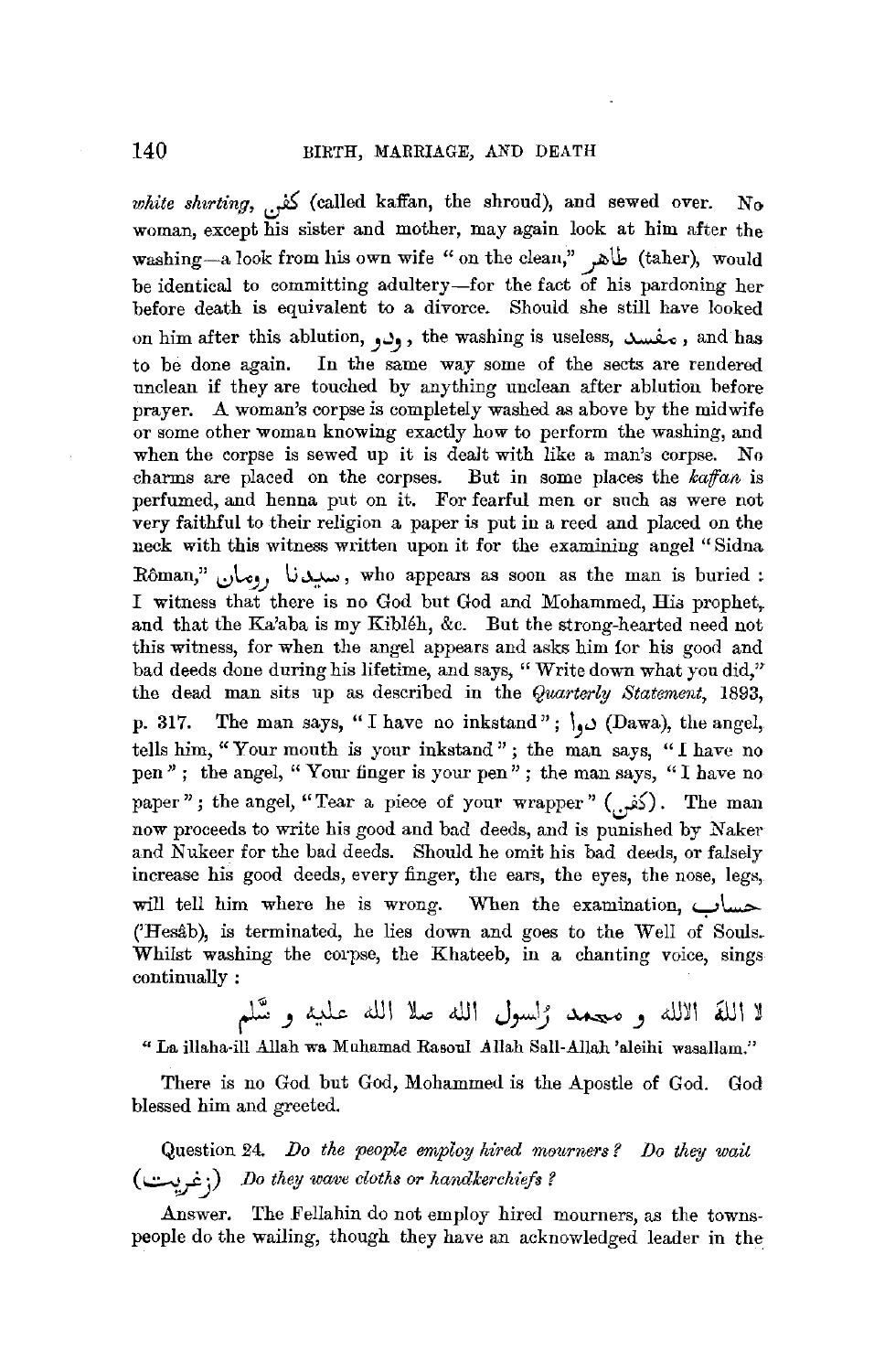white shirting,  $\sum_{i=1}^{n}$  (called kaffan, the shroud), and sewed over. No woman, except his sister and mother, may again look at him after the washing--a look from his own wife "on the clean," طاهر (taher), would be identical to committing adultery-for the fact of his pardoning her before death is equivalent to a divorce. Should she still have looked on him after this ablution, **J.)J** , the washing is useless, ~ , and has to be done again. In the same way some of the sects are rendered unclean if they are touched by anything unclean after ablution before prayer. A woman's corpse is completely washed as above by the midwife or some other woman knowing exactly how to perform the washing, and when the corpse is sewed up it is dealt with like a man's corpse. No charms are placed on the corpses. But in some places the *kaffan* is perfumed, and henna put on it. For fearful men or such as were not very faithful to their religion a paper is put in a reed and placed on the neck with this witness written upon it for the examining angel "Sidna Rôman," سبيدنا <sub>رومان</sub>, who appears as soon as the man is buried : I witness that there is no God but God and Mohammed, His prophet,. and that the Ka'aba is my Kibleh, &c. But the strong-hearted need not this witness, for when the angel appears and asks him for his good and bad deeds done during his lifetime, and says, "Write down what you did," the dead man sits up as described in the *Quarterly Statement,* 1893, p. 317. The man says, "I have no inkstand";  $\cup$  (Dawa), the angel, tells him, "Your mouth is your inkstand" ; the man says, "I have no pen" ; the angel, "Your finger is your pen" ; the man says, "I have no paper" ; the angel, "Tear a piece of your wrapper" ( $\sum_{i=1}^{n}$ ). The man now proceeds to write his good and bad deeds, and is punished by Naker and Nukeer for the bad deeds. Should he omit his bad deeds, or falsely increase his good deeds, every finger, the ears, the eyes, the nose, legs, will tell him where he is wrong. When the examination, y\......- ('Hesâb), is terminated, he lies down and goes to the Well of Souls. Whilst washing the corpse, the Khateeb, in a chanting voice, sings continually :

لا اللَّهَ الالله و معمد رُاسول اللَّه صلا اللَّه عليه و سَّلم

"La illaha-ill Allah wa Muhamad Rasoul Allah Sall-Allah 'aleihi wasallam."

There is no God but God, Mohammed is the Apostle of God. God blessed him and greeted.

Question 24. Do the people employ hired mourners? Do they wait (..::-..,Jj) *Do they wave cloths or handkerchiefs?* 

Answer, The Fellahin do not employ hired mourners, as the townspeople do the wailing, though they have an acknowledged leader in the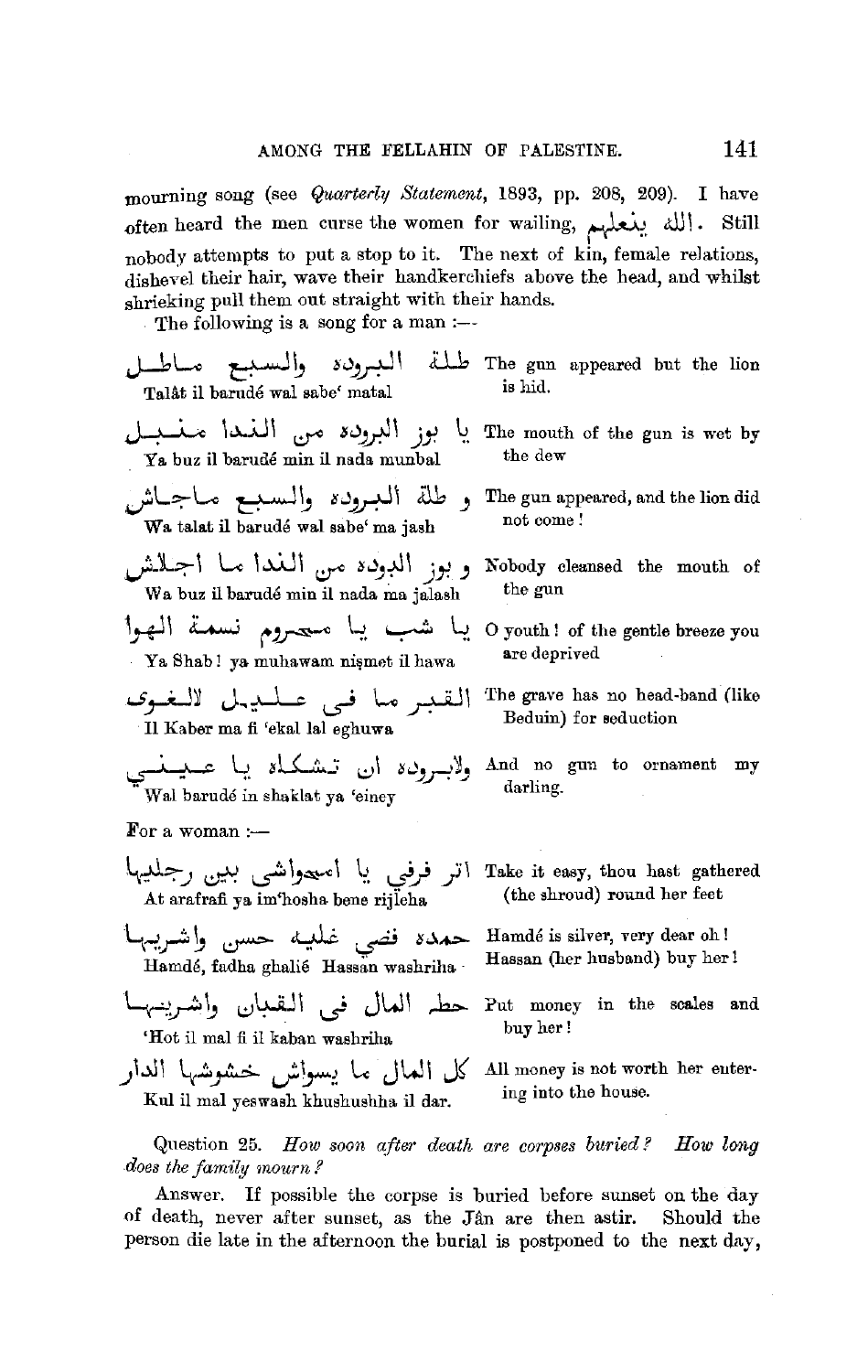mourning song (see *Quarterly Statement*, 1893, pp. 208, 209). I have  $-$ 0ften heard the men curse the women for wailing, الله ينعلهم nobody attempts to put a stop to it. The next of kin, female relations, dishevel their hair, wave their handkerchiefs above the head, and whilst shrieking pull them out straight with their hands.

The following is a song for a man :---

- r The ronowing is a song for a<br>الـبـرو*دة* والـسـبــع مــاطـــل<br>Talåt il barudé wal sabe<sup>c</sup> matal ill The gun appeared but the lion is hid.
- ~ \~.A.JI ~ su~I *j.,-!* li Ya buz il barude min il nada munbal و طلة الـبـروده والـسـبـع مــاجــاش Wa talat il bart1de wal sabe' ma jash **J-il~\** Le 1..u.J1 ~ **~u\_,+\I** *jY.)* Nobody cleansed the mouth of Wa buz il barudé min il nada ma jalash the gun ~~I L......J *t~* \-:1. ~ ½. 0 youth ! of the gentle breeze you Ya Shab! ya muhawam nismet il hawa *,\_s .* .:. I~ J~~ · L., , □ I\ *r-* .. *If* r.--'
- 11 Kaber ma fi 'ekal lal eghuwa
- ~ ~. *sL<..k\_:; ..:)\* **suJ\_r,~J** And no gun to ornament my Wal barudé in shaklat ya 'einev

For a woman  $:$ 

اتر فرفي يا امىعواشى بىي
$$
\sqrt{}
$$
At arafrafi ya im'hosha bene rijleha

- L~~ ~ ~ ~ ~ *S~-t.>-* Hamde is silver, very dear oh! Hamdé, fadha ghalié Hassan washriha Hassan (her husband) buy her!
- Hamdé, fadha ghalié Hassan washriha <sup>.</sup> Hassan (her husband) buy her!<br>Put money in the scales a حطہ العال فی التقعان واشہرینہہا 'Hot il mal fi il kaban washriha
- كل العال ما يسواش خشوشها الدار Kul ii mal yeswash khushushha il dar.
- The mouth of the gun is wet by the dew
- The gun appeared, and the lion did not come!
- 
- are deprived
- The grave has no head-band (like Beduin) for seduction
- 
- Take it easy, thou hast gathered (the shroud) round her feet
- 
- Put money in the scales and buy her!
- All money is not worth her eutering into the house.

Question 25. *How soon after death are corpses buried? How long does the family mourn.?* 

Answer. If possible the corpse is buried before sunset on the day of death, never after sunset, as the Jan are then astir. Should the person die late in the afternoon the burial is postponed to the next day,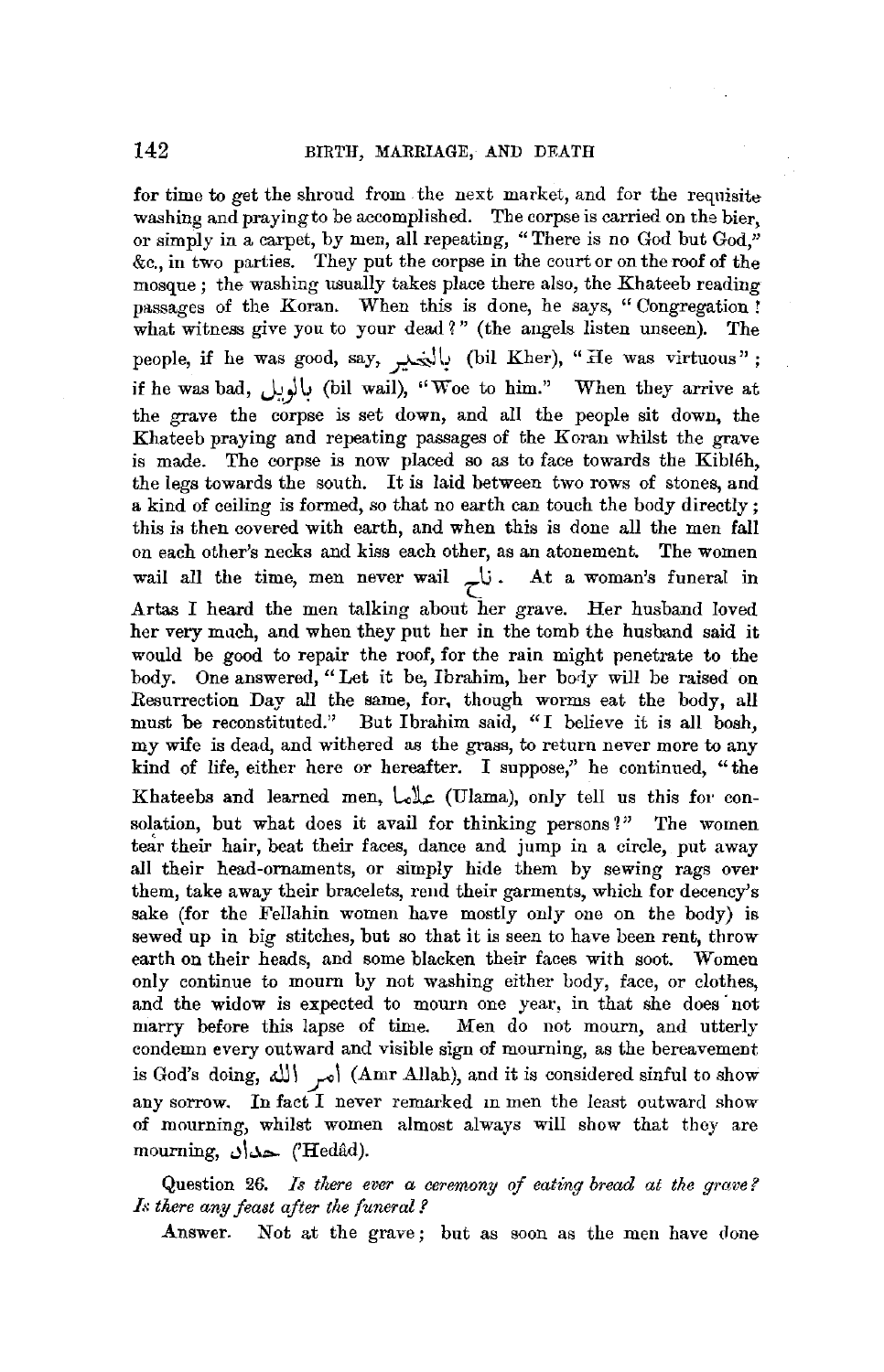for time to get the shroud from the next market, and for the requisite washing and praying to be accomplished. The corpse is carried on the bier, or simply in a carpet, by men, all repeating, "There is no God but God," &c., in two parties. They put the corpse in the court or on the roof of the mosque; the washing usually takes place there also, the Khateeb reading passages of the Koran. When this is done, he says, " Congregation ! what witness give you to your dead *1"* (the angels listen unseen). The people, if he was good, say, بالنهير (bil Kher), "He was virtuous"; if he was bad, **J~J4** (bi! wail), "Woe to him." When they arrive at the grave the corpse is set down, and all the people sit down, the Khateeb praying and repeating passages of the Koran whilst the grave is made. The corpse is now placed so as to face towards the Kibleh, the legs towards the south. It is laid between two rows of stones, and a kind of ceiling is formed, so that no earth can touch the body directly; this is then covered with earth, and when this is done all the men fall on each other's necks and kiss each other, as an atonement. The women wail all the time, men never wail  $\frac{1}{\sqrt{2}}$ . At a woman's funeral in Artas I heard the men talking about her grave. Her husband loved her very much, and when they put her in the tomb the husband said it would be good to repair the roof, for the rain might penetrate to the body. One answered, "Let it be, Ibrahim, her bociy will be raised on Resurrection Day all the same, for, though worms eat the body, all must be reconstituted." But Ibrahim said, "I believe it is all bosh, my wife is dead, and withered as the grass, to return never more to any kind of life, either here or hereafter. I suppose," he continued, "the Khateebs and learned men,  $\text{L}_2\text{L}_2$  (Ulama), only tell us this for consolation, but what does it avail for thinking persons?" The women tear their hair, beat their faces, dance and jump in a circle, put away **all** their head-ornaments, or simply hide them by sewing rags over them, take away their bracelets, rend their garments, which for decency's sake (for the Fellahin women have mostly only one on the body) is sewed up in big stitches, but so that it is seen to have been rent, throw earth on their heads, and some blacken their faces with soot. Women only continue to mourn by not washing either body, face, or clothes, and the widow is expected to mourn one year, in that she does not marry before this lapse of time. Men do not mourn, and utterly condemn every outward and visible sign of mourning, as the bereavement is God's doing, أمر الله! (Amr Allah), and it is considered sinful to show any sorrow. In fact I never remarked in men the least outward show of mourning, whilst women almost always will show that they are mourning, حدان $'$ Hedâd).

Question 26. *Is there ever a ceremony of eating bread at the grave? Is there any feast after the funeral l* 

Answer. Not at the grave; but as soon as the men have done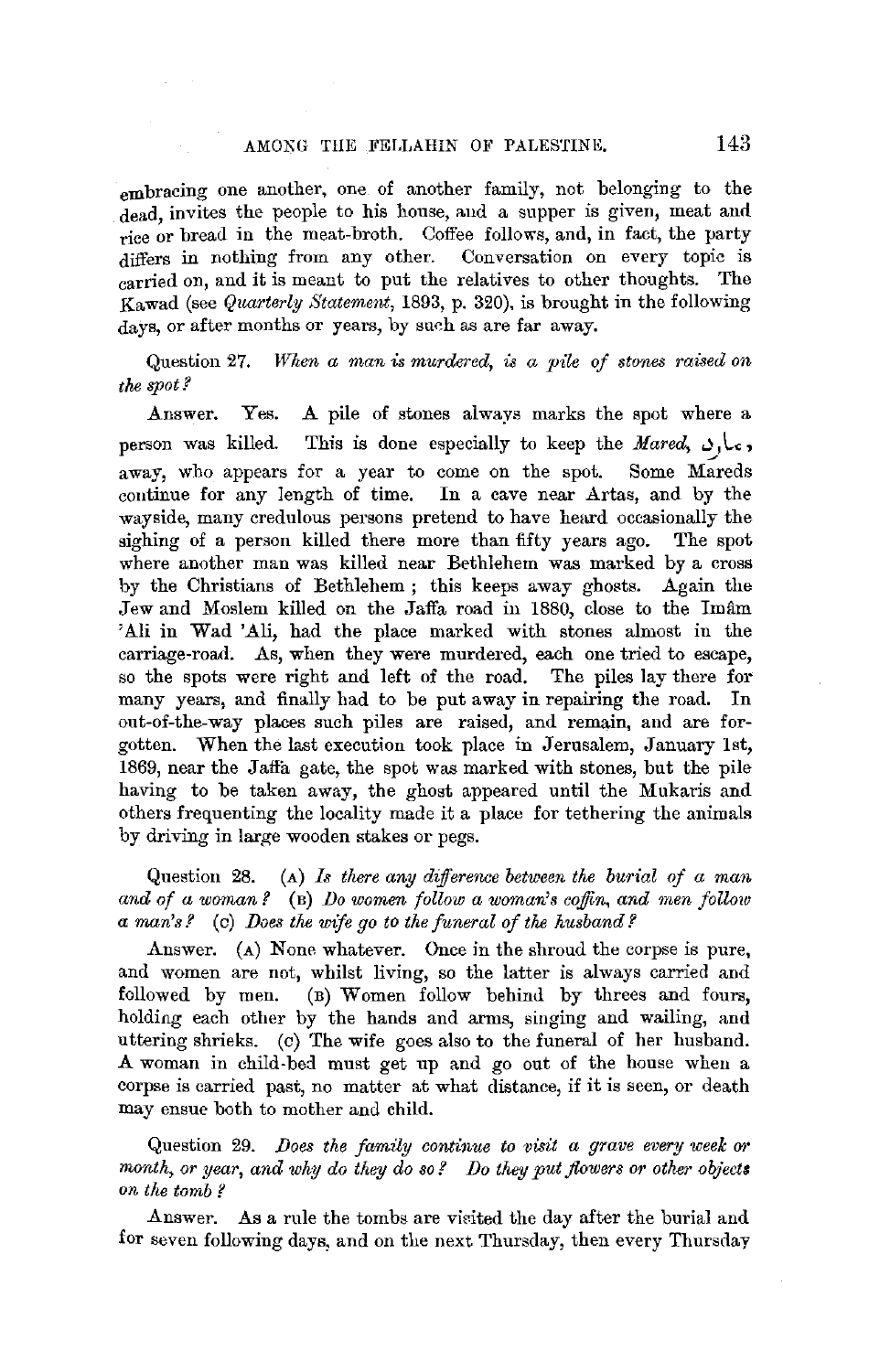embracing one another, one of another family, not belonging to the dead, invites the people to his house, aud a supper is given, meat and rice or bread in the meat-broth. Coffee follows, and, in fact, the party differs in nothing from any other. Conversation on every topic is carried on, and it is meant to put the relatives to other thoughts. The Kawad (see *Quarterly Statement,* 1893, p. 320), is brought in the following days, or after months or years, by such as are far away.

Question 27. *When a man is murdered, is a pile of stones rawed on the spot?* 

Answer. Yes. A pile of stones always marks the spot where a person was killed. This is done especially to keep the *Mared*,  $J_1$ , away, who appears for a year to come on the spot. Some Mareds continue for any length of time. In a cave near Artas, and by the wayside, many credulous persons pretend to have heard occasionally the sighing of a person killed there more than fifty years ago. The spot where another man was killed near Bethlehem was marked by a cross by the Christians of Bethlehem ; this keeps away ghosts. Again the Jew and Moslem killed on the Jaffa road in 1880, close to the Imam 'A.Ii in Wad 'Ali, had the place marked with stones almost in the carriage-road. As, when they were murdered, each one tried to escape, so the spots were right and left of the road. The piles lay there for many years, and finally had to be put away in repairing the road. In out-of-the-way places such piles are raised, and remain, and are forgotten. When the last execution took place in Jerusalem, January 1st, 1869, near the Jafla gate, the spot was marked with stones, but the pile having to be taken away, the ghost appeared until the Mukaris and others frequenting the locality made it a place for tethering the animals by driving in large wooden stakes or pegs.

Question 28. (A) *Is there any difference between the burial of a man and of a woman?* (B) *Do women follow a woman's coffin, and men follow a man's?* ( c) *Does the wife go to the fimeral of the husband?* 

Answer. (A) None whatever. Once in the shroud the corpse is pure, and women are not, whilst living, so the latter is always carried and followed by men. (B) Women follow behind by threes and fours, holding each other by the hands and arms, singing and wailing, and uttering shrieks. (c) The wife goes also to the funeral of her husband. A woman in child-bed must get up and go out of the house when a corpse is carried past, no matter at what distance, if it is seen, or death may ensue both to mother and child.

Question 29. *Does the family continue to visit a grave every week or* month, or year, and why do they do so? Do they put flowers or other objects *on the tomb?* 

Answer. As a rule the tombs are visited the day after the burial and for seven following days, and on the next Thursday, then every Thursday